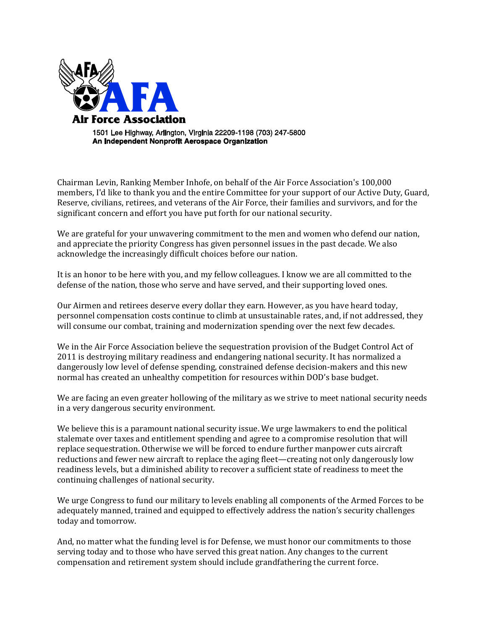

Chairman Levin, Ranking Member Inhofe, on behalf of the Air Force Association's 100,000 members, I'd like to thank you and the entire Committee for your support of our Active Duty, Guard, Reserve, civilians, retirees, and veterans of the Air Force, their families and survivors, and for the significant concern and effort you have put forth for our national security.

We are grateful for your unwavering commitment to the men and women who defend our nation, and appreciate the priority Congress has given personnel issues in the past decade. We also acknowledge the increasingly difficult choices before our nation.

It is an honor to be here with you, and my fellow colleagues. I know we are all committed to the defense of the nation, those who serve and have served, and their supporting loved ones.

Our Airmen and retirees deserve every dollar they earn. However, as you have heard today, personnel compensation costs continue to climb at unsustainable rates, and, if not addressed, they will consume our combat, training and modernization spending over the next few decades.

We in the Air Force Association believe the sequestration provision of the Budget Control Act of 2011 is destroying military readiness and endangering national security. It has normalized a dangerously low level of defense spending, constrained defense decision-makers and this new normal has created an unhealthy competition for resources within DOD's base budget.

We are facing an even greater hollowing of the military as we strive to meet national security needs in a very dangerous security environment.

We believe this is a paramount national security issue. We urge lawmakers to end the political stalemate over taxes and entitlement spending and agree to a compromise resolution that will replace sequestration. Otherwise we will be forced to endure further manpower cuts aircraft reductions and fewer new aircraft to replace the aging fleet—creating not only dangerously low readiness levels, but a diminished ability to recover a sufficient state of readiness to meet the continuing challenges of national security.

We urge Congress to fund our military to levels enabling all components of the Armed Forces to be adequately manned, trained and equipped to effectively address the nation's security challenges today and tomorrow.

And, no matter what the funding level is for Defense, we must honor our commitments to those serving today and to those who have served this great nation. Any changes to the current compensation and retirement system should include grandfathering the current force.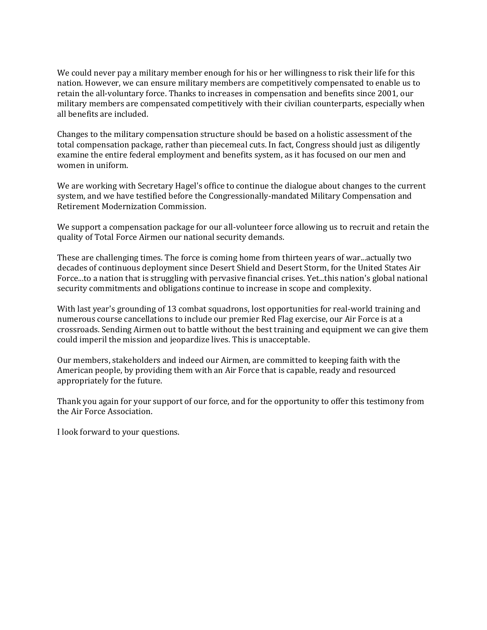We could never pay a military member enough for his or her willingness to risk their life for this nation. However, we can ensure military members are competitively compensated to enable us to retain the all-voluntary force. Thanks to increases in compensation and benefits since 2001, our military members are compensated competitively with their civilian counterparts, especially when all benefits are included.

Changes to the military compensation structure should be based on a holistic assessment of the total compensation package, rather than piecemeal cuts. In fact, Congress should just as diligently examine the entire federal employment and benefits system, as it has focused on our men and women in uniform.

We are working with Secretary Hagel's office to continue the dialogue about changes to the current system, and we have testified before the Congressionally-mandated Military Compensation and Retirement Modernization Commission.

We support a compensation package for our all-volunteer force allowing us to recruit and retain the quality of Total Force Airmen our national security demands.

These are challenging times. The force is coming home from thirteen years of war...actually two decades of continuous deployment since Desert Shield and Desert Storm, for the United States Air Force...to a nation that is struggling with pervasive financial crises. Yet...this nation's global national security commitments and obligations continue to increase in scope and complexity.

With last year's grounding of 13 combat squadrons, lost opportunities for real-world training and numerous course cancellations to include our premier Red Flag exercise, our Air Force is at a crossroads. Sending Airmen out to battle without the best training and equipment we can give them could imperil the mission and jeopardize lives. This is unacceptable.

Our members, stakeholders and indeed our Airmen, are committed to keeping faith with the American people, by providing them with an Air Force that is capable, ready and resourced appropriately for the future.

Thank you again for your support of our force, and for the opportunity to offer this testimony from the Air Force Association.

I look forward to your questions.